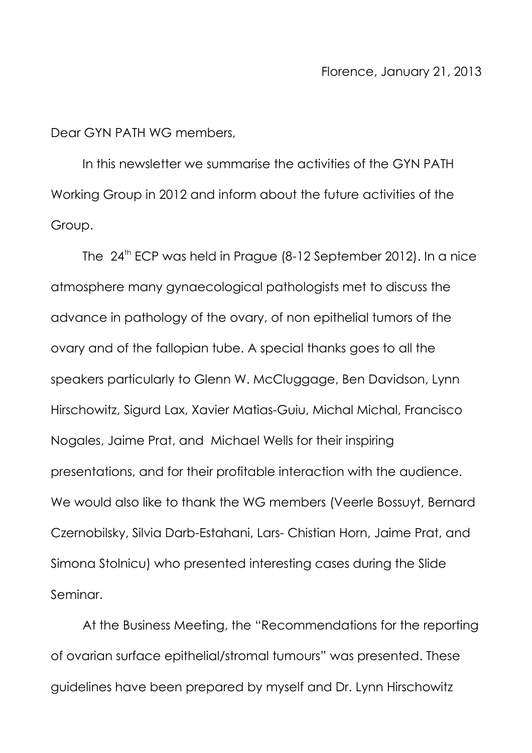Dear GYN PATH WG members,

In this newsletter we summarise the activities of the GYN PATH Working Group in 2012 and inform about the future activities of the Group.

The 24<sup>th</sup> ECP was held in Prague (8-12 September 2012). In a nice atmosphere many gynaecological pathologists met to discuss the advance in pathology of the ovary, of non epithelial tumors of the ovary and of the fallopian tube. A special thanks goes to all the speakers particularly to Glenn W. McCluggage, Ben Davidson, Lynn Hirschowitz, Sigurd Lax, Xavier Matias-Guiu, Michal Michal, Francisco Nogales, Jaime Prat, and Michael Wells for their inspiring presentations, and for their profitable interaction with the audience. We would also like to thank the WG members (Veerle Bossuyt, Bernard Czernobilsky, Silvia Darb-Estahani, Lars- Chistian Horn, Jaime Prat, and Simona Stolnicu) who presented interesting cases during the Slide Seminar.

At the Business Meeting, the "Recommendations for the reporting of ovarian surface epithelial/stromal tumours" was presented. These guidelines have been prepared by myself and Dr. Lynn Hirschowitz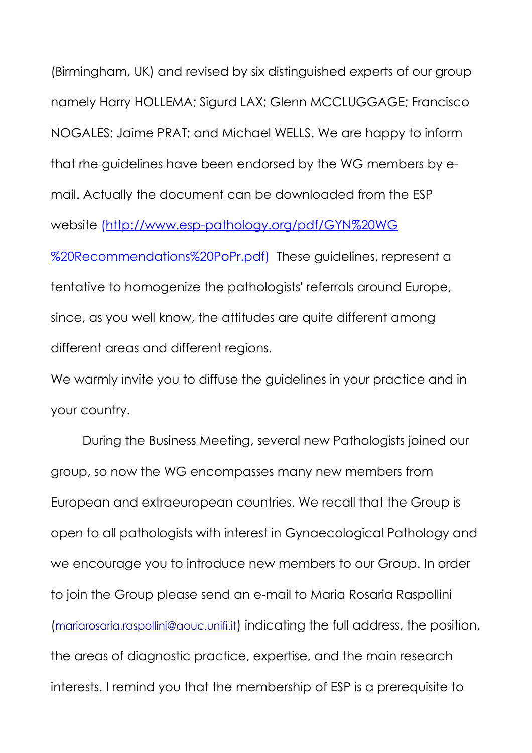(Birmingham, UK) and revised by six distinguished experts of our group namely Harry HOLLEMA; Sigurd LAX; Glenn MCCLUGGAGE; Francisco NOGALES; Jaime PRAT; and Michael WELLS. We are happy to inform that rhe guidelines have been endorsed by the WG members by email. Actually the document can be downloaded from the ESP website [\(http://www.esp-pathology.org/pdf/GYN%20WG](http://www.esp-pathology.org/pdf/GYN%20WG%20Recommendations%20PoPr.pdf) [%20Recommendations%20PoPr.pdf\)](http://www.esp-pathology.org/pdf/GYN%20WG%20Recommendations%20PoPr.pdf) These guidelines, represent a tentative to homogenize the pathologists' referrals around Europe, since, as you well know, the attitudes are quite different among different areas and different regions.

We warmly invite you to diffuse the guidelines in your practice and in your country.

During the Business Meeting, several new Pathologists joined our group, so now the WG encompasses many new members from European and extraeuropean countries. We recall that the Group is open to all pathologists with interest in Gynaecological Pathology and we encourage you to introduce new members to our Group. In order to join the Group please send an e-mail to Maria Rosaria Raspollini ([mariarosaria.raspollini@aouc.unifi.it](mailto:mariarosaria.raspollini@aouc.unifi.it)) indicating the full address, the position, the areas of diagnostic practice, expertise, and the main research interests. I remind you that the membership of ESP is a prerequisite to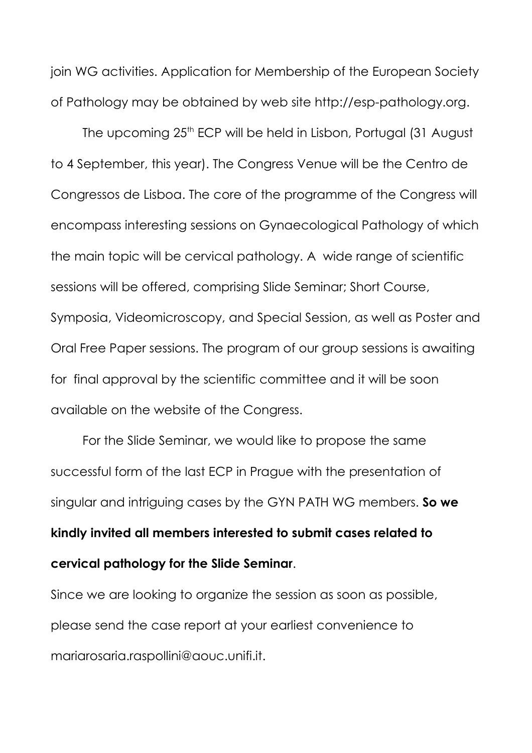join WG activities. Application for Membership of the European Society of Pathology may be obtained by web site http://esp-pathology.org.

The upcoming 25<sup>th</sup> ECP will be held in Lisbon, Portugal (31 August to 4 September, this year). The Congress Venue will be the Centro de Congressos de Lisboa. The core of the programme of the Congress will encompass interesting sessions on Gynaecological Pathology of which the main topic will be cervical pathology. A wide range of scientific sessions will be offered, comprising Slide Seminar; Short Course, Symposia, Videomicroscopy, and Special Session, as well as Poster and Oral Free Paper sessions. The program of our group sessions is awaiting for final approval by the scientific committee and it will be soon available on the website of the Congress.

For the Slide Seminar, we would like to propose the same successful form of the last ECP in Prague with the presentation of singular and intriguing cases by the GYN PATH WG members. **So we kindly invited all members interested to submit cases related to cervical pathology for the Slide Seminar**.

Since we are looking to organize the session as soon as possible, please send the case report at your earliest convenience to mariarosaria.raspollini@aouc.unifi.it.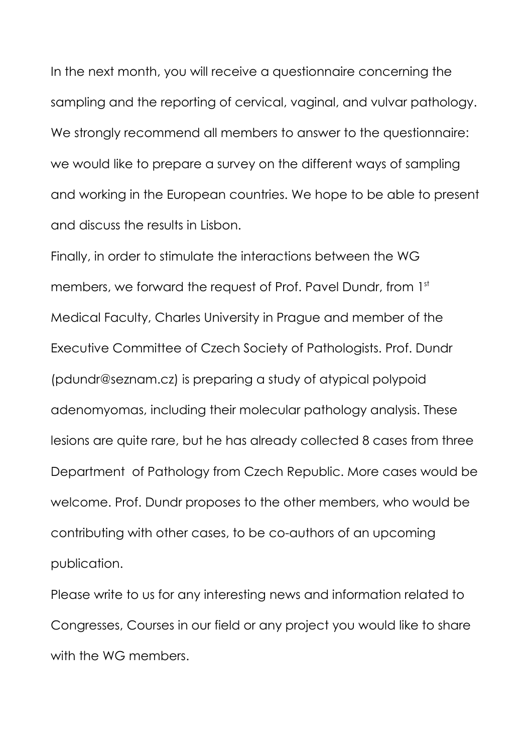In the next month, you will receive a questionnaire concerning the sampling and the reporting of cervical, vaginal, and vulvar pathology. We strongly recommend all members to answer to the questionnaire: we would like to prepare a survey on the different ways of sampling and working in the European countries. We hope to be able to present and discuss the results in Lisbon.

Finally, in order to stimulate the interactions between the WG members, we forward the request of Prof. Pavel Dundr, from 1st Medical Faculty, Charles University in Prague and member of the Executive Committee of Czech Society of Pathologists. Prof. Dundr (pdundr@seznam.cz) is preparing a study of atypical polypoid adenomyomas, including their molecular pathology analysis. These lesions are quite rare, but he has already collected 8 cases from three Department of Pathology from Czech Republic. More cases would be welcome. Prof. Dundr proposes to the other members, who would be contributing with other cases, to be co-authors of an upcoming publication.

Please write to us for any interesting news and information related to Congresses, Courses in our field or any project you would like to share with the WG members.